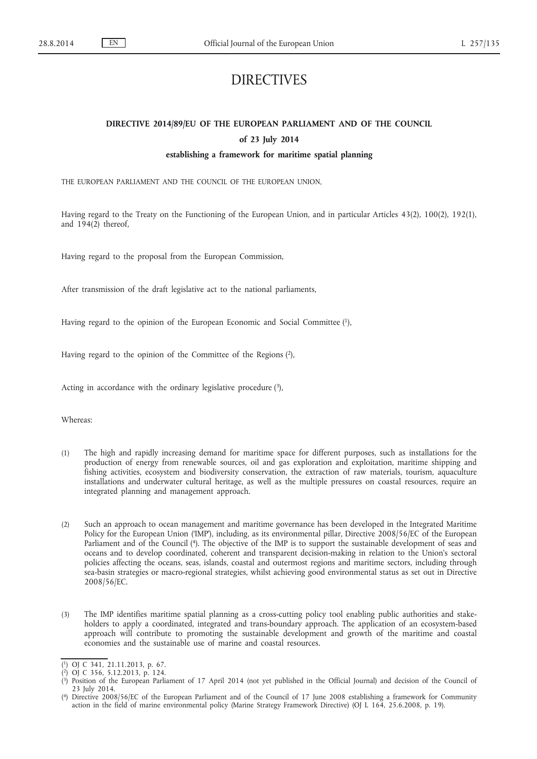# DIRECTIVES

# **DIRECTIVE 2014/89/EU OF THE EUROPEAN PARLIAMENT AND OF THE COUNCIL of 23 July 2014**

# **establishing a framework for maritime spatial planning**

THE EUROPEAN PARLIAMENT AND THE COUNCIL OF THE EUROPEAN UNION,

Having regard to the Treaty on the Functioning of the European Union, and in particular Articles 43(2), 100(2), 192(1), and 194(2) thereof,

Having regard to the proposal from the European Commission,

After transmission of the draft legislative act to the national parliaments,

Having regard to the opinion of the European Economic and Social Committee (1),

Having regard to the opinion of the Committee of the Regions (2),

Acting in accordance with the ordinary legislative procedure (3),

Whereas:

- (1) The high and rapidly increasing demand for maritime space for different purposes, such as installations for the production of energy from renewable sources, oil and gas exploration and exploitation, maritime shipping and fishing activities, ecosystem and biodiversity conservation, the extraction of raw materials, tourism, aquaculture installations and underwater cultural heritage, as well as the multiple pressures on coastal resources, require an integrated planning and management approach.
- (2) Such an approach to ocean management and maritime governance has been developed in the Integrated Maritime Policy for the European Union ('IMP'), including, as its environmental pillar, Directive 2008/56/EC of the European Parliament and of the Council (4). The objective of the IMP is to support the sustainable development of seas and oceans and to develop coordinated, coherent and transparent decision-making in relation to the Union's sectoral policies affecting the oceans, seas, islands, coastal and outermost regions and maritime sectors, including through sea-basin strategies or macro-regional strategies, whilst achieving good environmental status as set out in Directive 2008/56/EC.
- (3) The IMP identifies maritime spatial planning as a cross-cutting policy tool enabling public authorities and stakeholders to apply a coordinated, integrated and trans-boundary approach. The application of an ecosystem-based approach will contribute to promoting the sustainable development and growth of the maritime and coastal economies and the sustainable use of marine and coastal resources.

<sup>(</sup> 1) OJ C 341, 21.11.2013, p. 67.

<sup>(</sup> 2) OJ C 356, 5.12.2013, p. 124.

<sup>(</sup> 3) Position of the European Parliament of 17 April 2014 (not yet published in the Official Journal) and decision of the Council of 23 July 2014.

<sup>(</sup> 4) Directive 2008/56/EC of the European Parliament and of the Council of 17 June 2008 establishing a framework for Community action in the field of marine environmental policy (Marine Strategy Framework Directive) (OJ L 164, 25.6.2008, p. 19).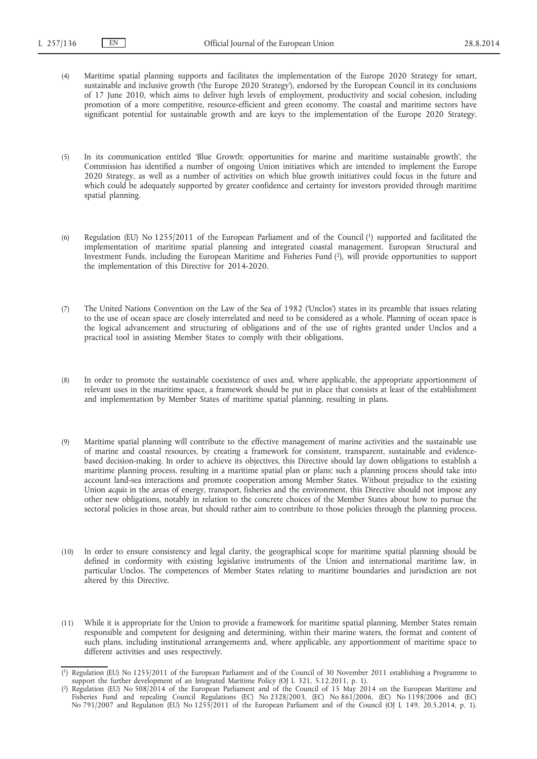- (4) Maritime spatial planning supports and facilitates the implementation of the Europe 2020 Strategy for smart, sustainable and inclusive growth ('the Europe 2020 Strategy'), endorsed by the European Council in its conclusions of 17 June 2010, which aims to deliver high levels of employment, productivity and social cohesion, including promotion of a more competitive, resource-efficient and green economy. The coastal and maritime sectors have significant potential for sustainable growth and are keys to the implementation of the Europe 2020 Strategy.
- (5) In its communication entitled 'Blue Growth: opportunities for marine and maritime sustainable growth', the Commission has identified a number of ongoing Union initiatives which are intended to implement the Europe 2020 Strategy, as well as a number of activities on which blue growth initiatives could focus in the future and which could be adequately supported by greater confidence and certainty for investors provided through maritime spatial planning.
- (6) Regulation (EU) No 1255/2011 of the European Parliament and of the Council (1) supported and facilitated the implementation of maritime spatial planning and integrated coastal management. European Structural and Investment Funds, including the European Maritime and Fisheries Fund (2), will provide opportunities to support the implementation of this Directive for 2014-2020.
- (7) The United Nations Convention on the Law of the Sea of 1982 ('Unclos') states in its preamble that issues relating to the use of ocean space are closely interrelated and need to be considered as a whole. Planning of ocean space is the logical advancement and structuring of obligations and of the use of rights granted under Unclos and a practical tool in assisting Member States to comply with their obligations.
- (8) In order to promote the sustainable coexistence of uses and, where applicable, the appropriate apportionment of relevant uses in the maritime space, a framework should be put in place that consists at least of the establishment and implementation by Member States of maritime spatial planning, resulting in plans.
- (9) Maritime spatial planning will contribute to the effective management of marine activities and the sustainable use of marine and coastal resources, by creating a framework for consistent, transparent, sustainable and evidencebased decision-making. In order to achieve its objectives, this Directive should lay down obligations to establish a maritime planning process, resulting in a maritime spatial plan or plans; such a planning process should take into account land-sea interactions and promote cooperation among Member States. Without prejudice to the existing Union *acquis* in the areas of energy, transport, fisheries and the environment, this Directive should not impose any other new obligations, notably in relation to the concrete choices of the Member States about how to pursue the sectoral policies in those areas, but should rather aim to contribute to those policies through the planning process.
- (10) In order to ensure consistency and legal clarity, the geographical scope for maritime spatial planning should be defined in conformity with existing legislative instruments of the Union and international maritime law, in particular Unclos. The competences of Member States relating to maritime boundaries and jurisdiction are not altered by this Directive.
- (11) While it is appropriate for the Union to provide a framework for maritime spatial planning, Member States remain responsible and competent for designing and determining, within their marine waters, the format and content of such plans, including institutional arrangements and, where applicable, any apportionment of maritime space to different activities and uses respectively.

<sup>(</sup> 1) Regulation (EU) No 1255/2011 of the European Parliament and of the Council of 30 November 2011 establishing a Programme to support the further development of an Integrated Maritime Policy (OJ L 321, 5.12.2011, p. 1).

<sup>(</sup> 2) Regulation (EU) No 508/2014 of the European Parliament and of the Council of 15 May 2014 on the European Maritime and Fisheries Fund and repealing Council Regulations (EC) No 2328/2003, (EC) No 861/2006, (EC) No 1198/2006 and (EC) No 791/2007 and Regulation (EU) No 1255/2011 of the European Parliament and of the Council (OJ L 149, 20.5.2014, p. 1).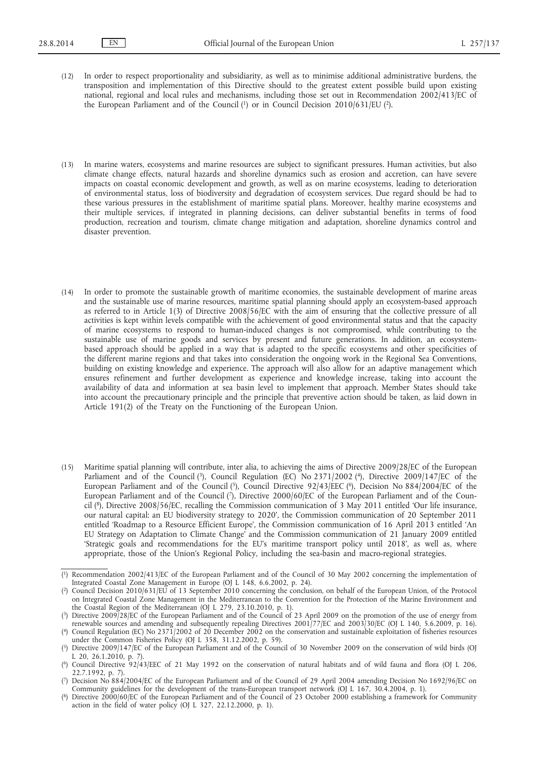- (12) In order to respect proportionality and subsidiarity, as well as to minimise additional administrative burdens, the transposition and implementation of this Directive should to the greatest extent possible build upon existing national, regional and local rules and mechanisms, including those set out in Recommendation 2002/413/EC of the European Parliament and of the Council (1) or in Council Decision 2010/631/EU (2).
- (13) In marine waters, ecosystems and marine resources are subject to significant pressures. Human activities, but also climate change effects, natural hazards and shoreline dynamics such as erosion and accretion, can have severe impacts on coastal economic development and growth, as well as on marine ecosystems, leading to deterioration of environmental status, loss of biodiversity and degradation of ecosystem services. Due regard should be had to these various pressures in the establishment of maritime spatial plans. Moreover, healthy marine ecosystems and their multiple services, if integrated in planning decisions, can deliver substantial benefits in terms of food production, recreation and tourism, climate change mitigation and adaptation, shoreline dynamics control and disaster prevention.
- (14) In order to promote the sustainable growth of maritime economies, the sustainable development of marine areas and the sustainable use of marine resources, maritime spatial planning should apply an ecosystem-based approach as referred to in Article 1(3) of Directive 2008/56/EC with the aim of ensuring that the collective pressure of all activities is kept within levels compatible with the achievement of good environmental status and that the capacity of marine ecosystems to respond to human-induced changes is not compromised, while contributing to the sustainable use of marine goods and services by present and future generations. In addition, an ecosystembased approach should be applied in a way that is adapted to the specific ecosystems and other specificities of the different marine regions and that takes into consideration the ongoing work in the Regional Sea Conventions, building on existing knowledge and experience. The approach will also allow for an adaptive management which ensures refinement and further development as experience and knowledge increase, taking into account the availability of data and information at sea basin level to implement that approach. Member States should take into account the precautionary principle and the principle that preventive action should be taken, as laid down in Article 191(2) of the Treaty on the Functioning of the European Union.
- (15) Maritime spatial planning will contribute, inter alia, to achieving the aims of Directive 2009/28/EC of the European Parliament and of the Council (3), Council Regulation (EC) No 2371/2002 (4), Directive 2009/147/EC of the European Parliament and of the Council (5), Council Directive 92/43/EEC (6), Decision No 884/2004/EC of the European Parliament and of the Council (7), Directive 2000/60/EC of the European Parliament and of the Council (8), Directive 2008/56/EC, recalling the Commission communication of 3 May 2011 entitled 'Our life insurance, our natural capital: an EU biodiversity strategy to 2020', the Commission communication of 20 September 2011 entitled 'Roadmap to a Resource Efficient Europe', the Commission communication of 16 April 2013 entitled 'An EU Strategy on Adaptation to Climate Change' and the Commission communication of 21 January 2009 entitled 'Strategic goals and recommendations for the EU's maritime transport policy until 2018', as well as, where appropriate, those of the Union's Regional Policy, including the sea-basin and macro-regional strategies.

<sup>(</sup> 1) Recommendation 2002/413/EC of the European Parliament and of the Council of 30 May 2002 concerning the implementation of Integrated Coastal Zone Management in Europe (OJ L 148, 6.6.2002, p. 24).

<sup>(</sup> 2) Council Decision 2010/631/EU of 13 September 2010 concerning the conclusion, on behalf of the European Union, of the Protocol on Integrated Coastal Zone Management in the Mediterranean to the Convention for the Protection of the Marine Environment and the Coastal Region of the Mediterranean (OJ L 279, 23.10.2010, p. 1).

<sup>(</sup> 3) Directive 2009/28/EC of the European Parliament and of the Council of 23 April 2009 on the promotion of the use of energy from renewable sources and amending and subsequently repealing Directives 2001/77/EC and 2003/30/EC (OJ L 140, 5.6.2009, p. 16).

<sup>(</sup> 4) Council Regulation (EC) No 2371/2002 of 20 December 2002 on the conservation and sustainable exploitation of fisheries resources under the Common Fisheries Policy (OJ L 358, 31.12.2002, p. 59).

<sup>(</sup> 5) Directive 2009/147/EC of the European Parliament and of the Council of 30 November 2009 on the conservation of wild birds (OJ L 20, 26.1.2010, p. 7).

<sup>(</sup> 6) Council Directive 92/43/EEC of 21 May 1992 on the conservation of natural habitats and of wild fauna and flora (OJ L 206, 22.7.1992, p. 7).

<sup>(</sup> 7) Decision No 884/2004/EC of the European Parliament and of the Council of 29 April 2004 amending Decision No 1692/96/EC on Community guidelines for the development of the trans-European transport network (OJ L 167, 30.4.2004, p. 1).

<sup>(</sup> 8) Directive 2000/60/EC of the European Parliament and of the Council of 23 October 2000 establishing a framework for Community action in the field of water policy (OJ L 327, 22.12.2000, p. 1).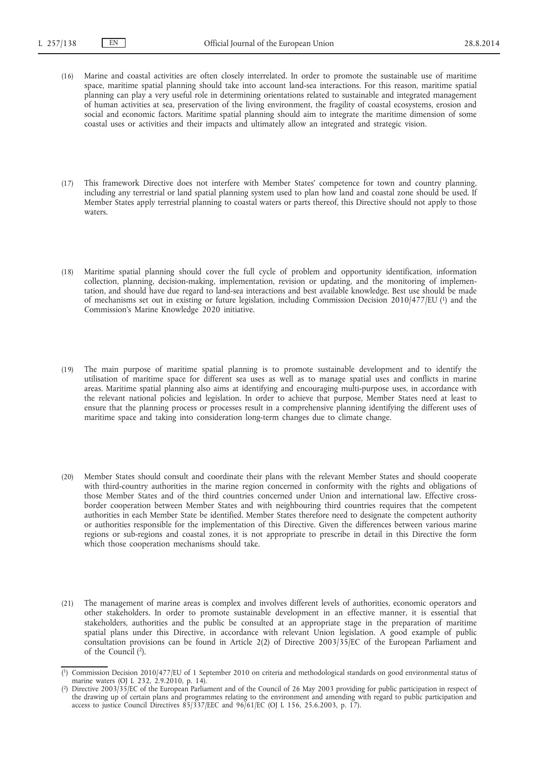- (16) Marine and coastal activities are often closely interrelated. In order to promote the sustainable use of maritime space, maritime spatial planning should take into account land-sea interactions. For this reason, maritime spatial planning can play a very useful role in determining orientations related to sustainable and integrated management of human activities at sea, preservation of the living environment, the fragility of coastal ecosystems, erosion and social and economic factors. Maritime spatial planning should aim to integrate the maritime dimension of some coastal uses or activities and their impacts and ultimately allow an integrated and strategic vision.
- (17) This framework Directive does not interfere with Member States' competence for town and country planning, including any terrestrial or land spatial planning system used to plan how land and coastal zone should be used. If Member States apply terrestrial planning to coastal waters or parts thereof, this Directive should not apply to those waters.
- (18) Maritime spatial planning should cover the full cycle of problem and opportunity identification, information collection, planning, decision-making, implementation, revision or updating, and the monitoring of implementation, and should have due regard to land-sea interactions and best available knowledge. Best use should be made of mechanisms set out in existing or future legislation, including Commission Decision 2010/477/EU (1) and the Commission's Marine Knowledge 2020 initiative.
- (19) The main purpose of maritime spatial planning is to promote sustainable development and to identify the utilisation of maritime space for different sea uses as well as to manage spatial uses and conflicts in marine areas. Maritime spatial planning also aims at identifying and encouraging multi-purpose uses, in accordance with the relevant national policies and legislation. In order to achieve that purpose, Member States need at least to ensure that the planning process or processes result in a comprehensive planning identifying the different uses of maritime space and taking into consideration long-term changes due to climate change.
- (20) Member States should consult and coordinate their plans with the relevant Member States and should cooperate with third-country authorities in the marine region concerned in conformity with the rights and obligations of those Member States and of the third countries concerned under Union and international law. Effective crossborder cooperation between Member States and with neighbouring third countries requires that the competent authorities in each Member State be identified. Member States therefore need to designate the competent authority or authorities responsible for the implementation of this Directive. Given the differences between various marine regions or sub-regions and coastal zones, it is not appropriate to prescribe in detail in this Directive the form which those cooperation mechanisms should take.
- (21) The management of marine areas is complex and involves different levels of authorities, economic operators and other stakeholders. In order to promote sustainable development in an effective manner, it is essential that stakeholders, authorities and the public be consulted at an appropriate stage in the preparation of maritime spatial plans under this Directive, in accordance with relevant Union legislation. A good example of public consultation provisions can be found in Article 2(2) of Directive 2003/35/EC of the European Parliament and of the Council (2).

<sup>(</sup> 1) Commission Decision 2010/477/EU of 1 September 2010 on criteria and methodological standards on good environmental status of marine waters (OJ L 232, 2.9.2010, p. 14).

<sup>(</sup> 2) Directive 2003/35/EC of the European Parliament and of the Council of 26 May 2003 providing for public participation in respect of the drawing up of certain plans and programmes relating to the environment and amending with regard to public participation and access to justice Council Directives  $\frac{\sqrt{3}}{3}$ 7/EEC and  $\frac{96}{6}$ 1/EC (OJ L 156, 25.6.2003, p. 17).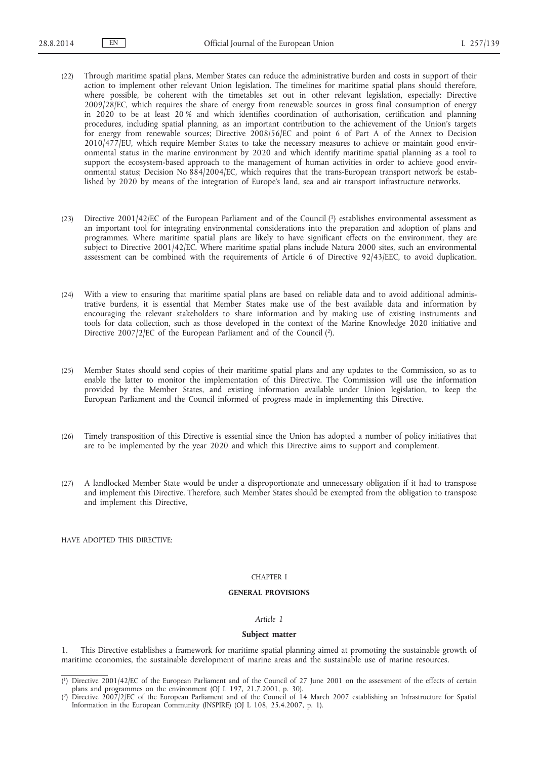- (22) Through maritime spatial plans, Member States can reduce the administrative burden and costs in support of their action to implement other relevant Union legislation. The timelines for maritime spatial plans should therefore, where possible, be coherent with the timetables set out in other relevant legislation, especially: Directive 2009/28/EC, which requires the share of energy from renewable sources in gross final consumption of energy in 2020 to be at least 20 % and which identifies coordination of authorisation, certification and planning procedures, including spatial planning, as an important contribution to the achievement of the Union's targets for energy from renewable sources; Directive 2008/56/EC and point 6 of Part A of the Annex to Decision 2010/477/EU, which require Member States to take the necessary measures to achieve or maintain good environmental status in the marine environment by 2020 and which identify maritime spatial planning as a tool to support the ecosystem-based approach to the management of human activities in order to achieve good environmental status; Decision No 884/2004/EC, which requires that the trans-European transport network be established by 2020 by means of the integration of Europe's land, sea and air transport infrastructure networks.
- (23) Directive 2001/42/EC of the European Parliament and of the Council (1) establishes environmental assessment as an important tool for integrating environmental considerations into the preparation and adoption of plans and programmes. Where maritime spatial plans are likely to have significant effects on the environment, they are subject to Directive 2001/42/EC. Where maritime spatial plans include Natura 2000 sites, such an environmental assessment can be combined with the requirements of Article 6 of Directive 92/43/EEC, to avoid duplication.
- (24) With a view to ensuring that maritime spatial plans are based on reliable data and to avoid additional administrative burdens, it is essential that Member States make use of the best available data and information by encouraging the relevant stakeholders to share information and by making use of existing instruments and tools for data collection, such as those developed in the context of the Marine Knowledge 2020 initiative and Directive 2007/2/EC of the European Parliament and of the Council (2).
- (25) Member States should send copies of their maritime spatial plans and any updates to the Commission, so as to enable the latter to monitor the implementation of this Directive. The Commission will use the information provided by the Member States, and existing information available under Union legislation, to keep the European Parliament and the Council informed of progress made in implementing this Directive.
- (26) Timely transposition of this Directive is essential since the Union has adopted a number of policy initiatives that are to be implemented by the year 2020 and which this Directive aims to support and complement.
- (27) A landlocked Member State would be under a disproportionate and unnecessary obligation if it had to transpose and implement this Directive. Therefore, such Member States should be exempted from the obligation to transpose and implement this Directive,

HAVE ADOPTED THIS DIRECTIVE:

# CHAPTER I

## **GENERAL PROVISIONS**

#### *Article 1*

## **Subject matter**

1. This Directive establishes a framework for maritime spatial planning aimed at promoting the sustainable growth of maritime economies, the sustainable development of marine areas and the sustainable use of marine resources.

<sup>(</sup> 1) Directive 2001/42/EC of the European Parliament and of the Council of 27 June 2001 on the assessment of the effects of certain plans and programmes on the environment (OJ L 197, 21.7.2001, p. 30).

<sup>(</sup> 2) Directive 2007/2/EC of the European Parliament and of the Council of 14 March 2007 establishing an Infrastructure for Spatial Information in the European Community (INSPIRE) (OJ L 108, 25.4.2007, p. 1).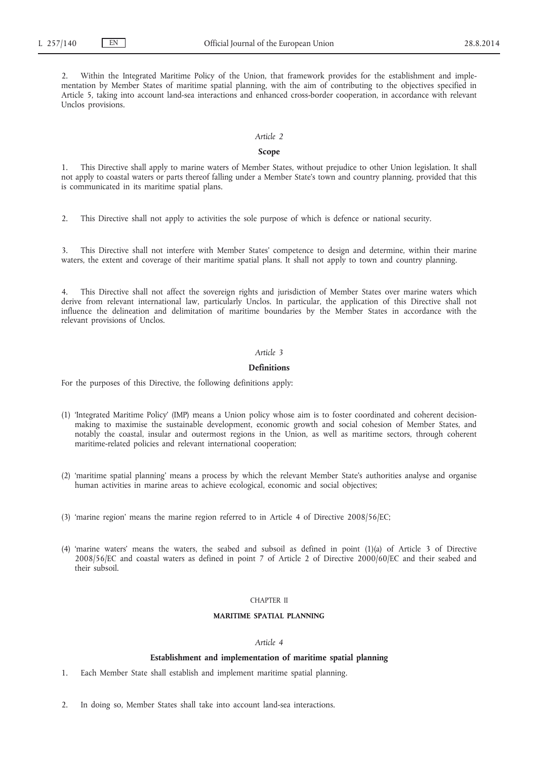2. Within the Integrated Maritime Policy of the Union, that framework provides for the establishment and implementation by Member States of maritime spatial planning, with the aim of contributing to the objectives specified in Article 5, taking into account land-sea interactions and enhanced cross-border cooperation, in accordance with relevant Unclos provisions.

## *Article 2*

# **Scope**

1. This Directive shall apply to marine waters of Member States, without prejudice to other Union legislation. It shall not apply to coastal waters or parts thereof falling under a Member State's town and country planning, provided that this is communicated in its maritime spatial plans.

2. This Directive shall not apply to activities the sole purpose of which is defence or national security.

3. This Directive shall not interfere with Member States' competence to design and determine, within their marine waters, the extent and coverage of their maritime spatial plans. It shall not apply to town and country planning.

4. This Directive shall not affect the sovereign rights and jurisdiction of Member States over marine waters which derive from relevant international law, particularly Unclos. In particular, the application of this Directive shall not influence the delineation and delimitation of maritime boundaries by the Member States in accordance with the relevant provisions of Unclos.

# *Article 3*

## **Definitions**

For the purposes of this Directive, the following definitions apply:

- (1) 'Integrated Maritime Policy' (IMP) means a Union policy whose aim is to foster coordinated and coherent decisionmaking to maximise the sustainable development, economic growth and social cohesion of Member States, and notably the coastal, insular and outermost regions in the Union, as well as maritime sectors, through coherent maritime-related policies and relevant international cooperation;
- (2) 'maritime spatial planning' means a process by which the relevant Member State's authorities analyse and organise human activities in marine areas to achieve ecological, economic and social objectives;
- (3) 'marine region' means the marine region referred to in Article 4 of Directive 2008/56/EC;
- (4) 'marine waters' means the waters, the seabed and subsoil as defined in point (1)(a) of Article 3 of Directive 2008/56/EC and coastal waters as defined in point 7 of Article 2 of Directive 2000/60/EC and their seabed and their subsoil.

## CHAPTER II

# **MARITIME SPATIAL PLANNING**

## *Article 4*

# **Establishment and implementation of maritime spatial planning**

- 1. Each Member State shall establish and implement maritime spatial planning.
- 2. In doing so, Member States shall take into account land-sea interactions.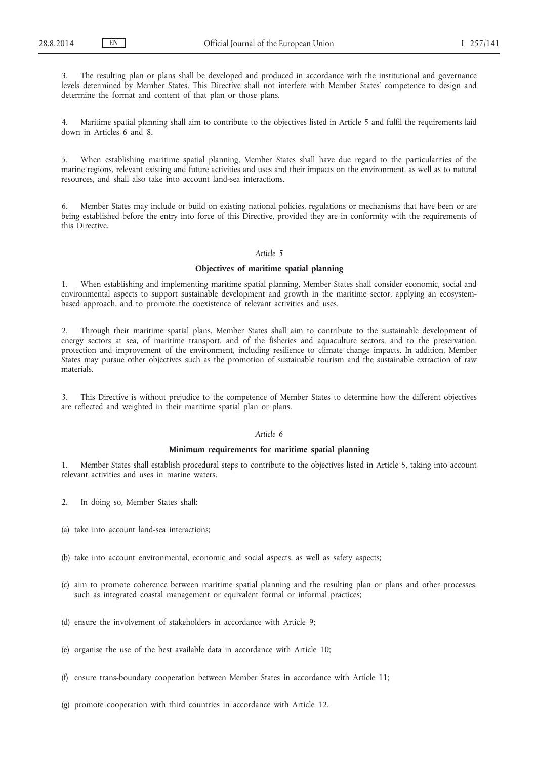3. The resulting plan or plans shall be developed and produced in accordance with the institutional and governance levels determined by Member States. This Directive shall not interfere with Member States' competence to design and determine the format and content of that plan or those plans.

4. Maritime spatial planning shall aim to contribute to the objectives listed in Article 5 and fulfil the requirements laid down in Articles 6 and 8.

5. When establishing maritime spatial planning, Member States shall have due regard to the particularities of the marine regions, relevant existing and future activities and uses and their impacts on the environment, as well as to natural resources, and shall also take into account land-sea interactions.

Member States may include or build on existing national policies, regulations or mechanisms that have been or are being established before the entry into force of this Directive, provided they are in conformity with the requirements of this Directive.

## *Article 5*

# **Objectives of maritime spatial planning**

1. When establishing and implementing maritime spatial planning, Member States shall consider economic, social and environmental aspects to support sustainable development and growth in the maritime sector, applying an ecosystembased approach, and to promote the coexistence of relevant activities and uses.

2. Through their maritime spatial plans, Member States shall aim to contribute to the sustainable development of energy sectors at sea, of maritime transport, and of the fisheries and aquaculture sectors, and to the preservation, protection and improvement of the environment, including resilience to climate change impacts. In addition, Member States may pursue other objectives such as the promotion of sustainable tourism and the sustainable extraction of raw materials.

3. This Directive is without prejudice to the competence of Member States to determine how the different objectives are reflected and weighted in their maritime spatial plan or plans.

## *Article 6*

## **Minimum requirements for maritime spatial planning**

1. Member States shall establish procedural steps to contribute to the objectives listed in Article 5, taking into account relevant activities and uses in marine waters.

- 2. In doing so, Member States shall:
- (a) take into account land-sea interactions;
- (b) take into account environmental, economic and social aspects, as well as safety aspects;
- (c) aim to promote coherence between maritime spatial planning and the resulting plan or plans and other processes, such as integrated coastal management or equivalent formal or informal practices;
- (d) ensure the involvement of stakeholders in accordance with Article 9;
- (e) organise the use of the best available data in accordance with Article 10;
- (f) ensure trans-boundary cooperation between Member States in accordance with Article 11;
- (g) promote cooperation with third countries in accordance with Article 12.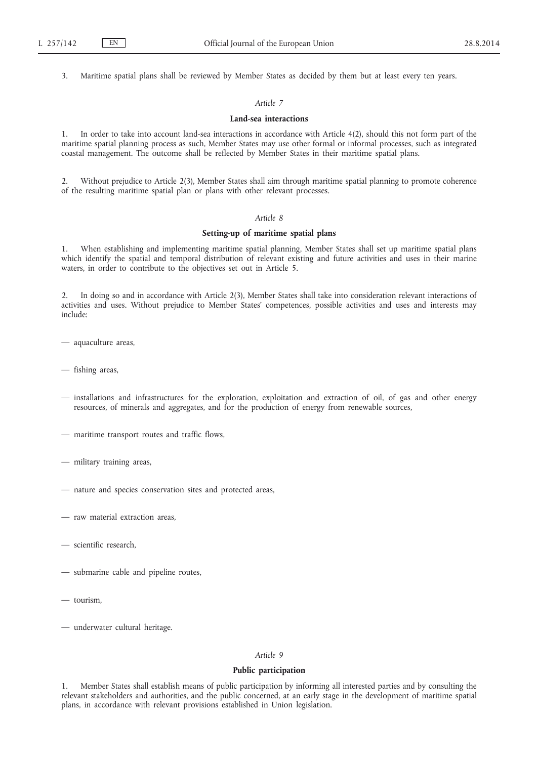3. Maritime spatial plans shall be reviewed by Member States as decided by them but at least every ten years.

# *Article 7*

#### **Land-sea interactions**

In order to take into account land-sea interactions in accordance with Article 4(2), should this not form part of the maritime spatial planning process as such, Member States may use other formal or informal processes, such as integrated coastal management. The outcome shall be reflected by Member States in their maritime spatial plans.

2. Without prejudice to Article 2(3), Member States shall aim through maritime spatial planning to promote coherence of the resulting maritime spatial plan or plans with other relevant processes.

# *Article 8*

# **Setting-up of maritime spatial plans**

1. When establishing and implementing maritime spatial planning, Member States shall set up maritime spatial plans which identify the spatial and temporal distribution of relevant existing and future activities and uses in their marine waters, in order to contribute to the objectives set out in Article 5.

2. In doing so and in accordance with Article 2(3), Member States shall take into consideration relevant interactions of activities and uses. Without prejudice to Member States' competences, possible activities and uses and interests may include:

- aquaculture areas,
- fishing areas,
- installations and infrastructures for the exploration, exploitation and extraction of oil, of gas and other energy resources, of minerals and aggregates, and for the production of energy from renewable sources,
- maritime transport routes and traffic flows,
- military training areas,
- nature and species conservation sites and protected areas,
- raw material extraction areas,
- scientific research,
- submarine cable and pipeline routes,
- tourism,
- underwater cultural heritage.

# *Article 9*

## **Public participation**

1. Member States shall establish means of public participation by informing all interested parties and by consulting the relevant stakeholders and authorities, and the public concerned, at an early stage in the development of maritime spatial plans, in accordance with relevant provisions established in Union legislation.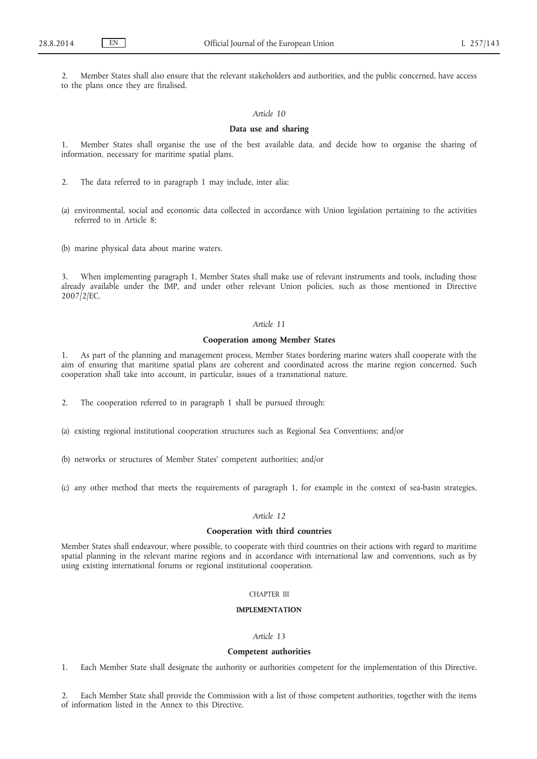2. Member States shall also ensure that the relevant stakeholders and authorities, and the public concerned, have access to the plans once they are finalised.

#### *Article 10*

## **Data use and sharing**

1. Member States shall organise the use of the best available data, and decide how to organise the sharing of information, necessary for maritime spatial plans.

2. The data referred to in paragraph 1 may include, inter alia:

(a) environmental, social and economic data collected in accordance with Union legislation pertaining to the activities referred to in Article 8;

(b) marine physical data about marine waters.

When implementing paragraph 1, Member States shall make use of relevant instruments and tools, including those already available under the IMP, and under other relevant Union policies, such as those mentioned in Directive 2007/2/EC.

## *Article 11*

## **Cooperation among Member States**

1. As part of the planning and management process, Member States bordering marine waters shall cooperate with the aim of ensuring that maritime spatial plans are coherent and coordinated across the marine region concerned. Such cooperation shall take into account, in particular, issues of a transnational nature.

2. The cooperation referred to in paragraph 1 shall be pursued through:

- (a) existing regional institutional cooperation structures such as Regional Sea Conventions; and/or
- (b) networks or structures of Member States' competent authorities; and/or
- (c) any other method that meets the requirements of paragraph 1, for example in the context of sea-basin strategies.

# *Article 12*

#### **Cooperation with third countries**

Member States shall endeavour, where possible, to cooperate with third countries on their actions with regard to maritime spatial planning in the relevant marine regions and in accordance with international law and conventions, such as by using existing international forums or regional institutional cooperation.

## CHAPTER III

## **IMPLEMENTATION**

# *Article 13*

# **Competent authorities**

1. Each Member State shall designate the authority or authorities competent for the implementation of this Directive.

2. Each Member State shall provide the Commission with a list of those competent authorities, together with the items of information listed in the Annex to this Directive.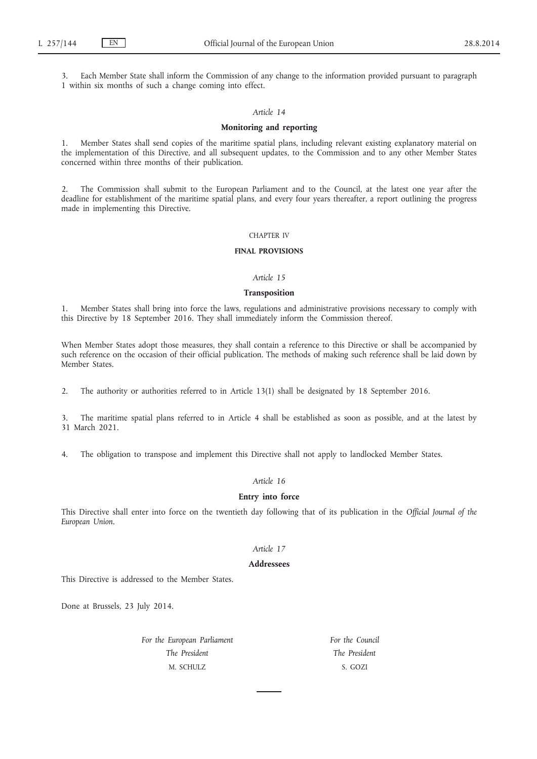Each Member State shall inform the Commission of any change to the information provided pursuant to paragraph 1 within six months of such a change coming into effect.

# *Article 14*

## **Monitoring and reporting**

1. Member States shall send copies of the maritime spatial plans, including relevant existing explanatory material on the implementation of this Directive, and all subsequent updates, to the Commission and to any other Member States concerned within three months of their publication.

2. The Commission shall submit to the European Parliament and to the Council, at the latest one year after the deadline for establishment of the maritime spatial plans, and every four years thereafter, a report outlining the progress made in implementing this Directive.

### CHAPTER IV

# **FINAL PROVISIONS**

# *Article 15*

#### **Transposition**

1. Member States shall bring into force the laws, regulations and administrative provisions necessary to comply with this Directive by 18 September 2016. They shall immediately inform the Commission thereof.

When Member States adopt those measures, they shall contain a reference to this Directive or shall be accompanied by such reference on the occasion of their official publication. The methods of making such reference shall be laid down by Member States.

2. The authority or authorities referred to in Article 13(1) shall be designated by 18 September 2016.

3. The maritime spatial plans referred to in Article 4 shall be established as soon as possible, and at the latest by 31 March 2021.

4. The obligation to transpose and implement this Directive shall not apply to landlocked Member States.

# *Article 16*

## **Entry into force**

This Directive shall enter into force on the twentieth day following that of its publication in the *Official Journal of the European Union*.

# *Article 17*

#### **Addressees**

This Directive is addressed to the Member States.

Done at Brussels, 23 July 2014.

*For the European Parliament The President* M. SCHULZ

*For the Council The President* S. GOZI